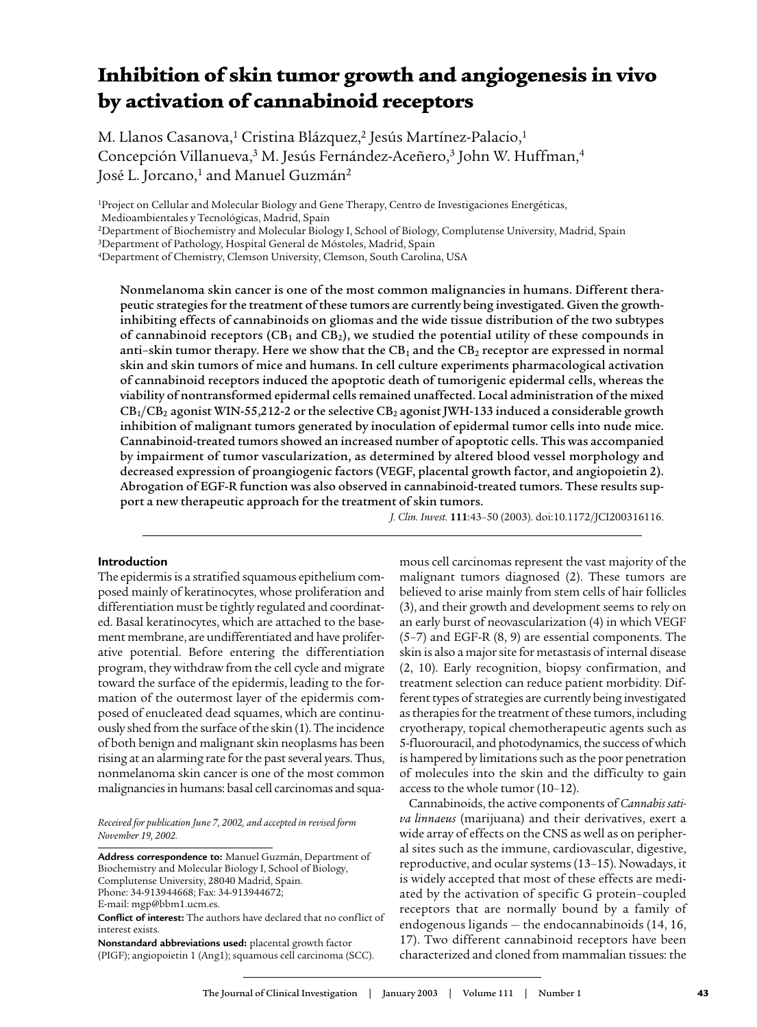# Inhibition of skin tumor growth and angiogenesis in vivo by activation of cannabinoid receptors

M. Llanos Casanova,<sup>1</sup> Cristina Blázquez,<sup>2</sup> Jesús Martínez-Palacio,<sup>1</sup> Concepción Villanueva,<sup>3</sup> M. Jesús Fernández-Aceñero,<sup>3</sup> John W. Huffman,<sup>4</sup> José L. Jorcano,<sup>1</sup> and Manuel Guzmán<sup>2</sup>

<sup>1</sup>Project on Cellular and Molecular Biology and Gene Therapy, Centro de Investigaciones Energéticas,

Medioambientales y Tecnológicas, Madrid, Spain

<sup>2</sup>Department of Biochemistry and Molecular Biology I, School of Biology, Complutense University, Madrid, Spain

<sup>3</sup>Department of Pathology, Hospital General de Móstoles, Madrid, Spain

<sup>4</sup>Department of Chemistry, Clemson University, Clemson, South Carolina, USA

Nonmelanoma skin cancer is one of the most common malignancies in humans. Different therapeutic strategies for the treatment of these tumors are currently being investigated. Given the growthinhibiting effects of cannabinoids on gliomas and the wide tissue distribution of the two subtypes of cannabinoid receptors (CB<sub>1</sub> and CB<sub>2</sub>), we studied the potential utility of these compounds in anti-skin tumor therapy. Here we show that the CB<sub>1</sub> and the CB<sub>2</sub> receptor are expressed in normal skin and skin tumors of mice and humans. In cell culture experiments pharmacological activation of cannabinoid receptors induced the apoptotic death of tumorigenic epidermal cells, whereas the viability of nontransformed epidermal cells remained unaffected. Local administration of the mixed  $CB<sub>1</sub>/CB<sub>2</sub>$  agonist WIN-55,212-2 or the selective  $CB<sub>2</sub>$  agonist JWH-133 induced a considerable growth inhibition of malignant tumors generated by inoculation of epidermal tumor cells into nude mice. Cannabinoid-treated tumors showed an increased number of apoptotic cells. This was accompanied by impairment of tumor vascularization, as determined by altered blood vessel morphology and decreased expression of proangiogenic factors (VEGF, placental growth factor, and angiopoietin 2). Abrogation of EGF-R function was also observed in cannabinoid-treated tumors. These results support a new therapeutic approach for the treatment of skin tumors.

*J. Clin. Invest.* **111**:43–50 (2003). doi:10.1172/JCI200316116.

## **Introduction**

The epidermis is a stratified squamous epithelium composed mainly of keratinocytes, whose proliferation and differentiation must be tightly regulated and coordinated. Basal keratinocytes, which are attached to the basement membrane, are undifferentiated and have proliferative potential. Before entering the differentiation program, they withdraw from the cell cycle and migrate toward the surface of the epidermis, leading to the formation of the outermost layer of the epidermis composed of enucleated dead squames, which are continuously shed from the surface of the skin (1). The incidence of both benign and malignant skin neoplasms has been rising at an alarming rate for the past several years. Thus, nonmelanoma skin cancer is one of the most common malignancies in humans: basal cell carcinomas and squa-

*Received for publication June 7, 2002, and accepted in revised form November 19, 2002.*

**Address correspondence to:** Manuel Guzmán, Department of Biochemistry and Molecular Biology I, School of Biology, Complutense University, 28040 Madrid, Spain. Phone: 34-913944668; Fax: 34-913944672;

**Nonstandard abbreviations used:** placental growth factor (PIGF); angiopoietin 1 (Ang1); squamous cell carcinoma (SCC). mous cell carcinomas represent the vast majority of the malignant tumors diagnosed (2). These tumors are believed to arise mainly from stem cells of hair follicles (3), and their growth and development seems to rely on an early burst of neovascularization (4) in which VEGF (5–7) and EGF-R (8, 9) are essential components. The skin is also a major site for metastasis of internal disease (2, 10). Early recognition, biopsy confirmation, and treatment selection can reduce patient morbidity. Different types of strategies are currently being investigated as therapies for the treatment of these tumors, including cryotherapy, topical chemotherapeutic agents such as 5-fluorouracil, and photodynamics, the success of which is hampered by limitations such as the poor penetration of molecules into the skin and the difficulty to gain access to the whole tumor (10–12).

Cannabinoids, the active components of *Cannabis sativa linnaeus* (marijuana) and their derivatives, exert a wide array of effects on the CNS as well as on peripheral sites such as the immune, cardiovascular, digestive, reproductive, and ocular systems (13–15). Nowadays, it is widely accepted that most of these effects are mediated by the activation of specific G protein–coupled receptors that are normally bound by a family of endogenous ligands — the endocannabinoids (14, 16, 17). Two different cannabinoid receptors have been characterized and cloned from mammalian tissues: the

E-mail: mgp@bbm1.ucm.es.

**Conflict of interest:** The authors have declared that no conflict of interest exists.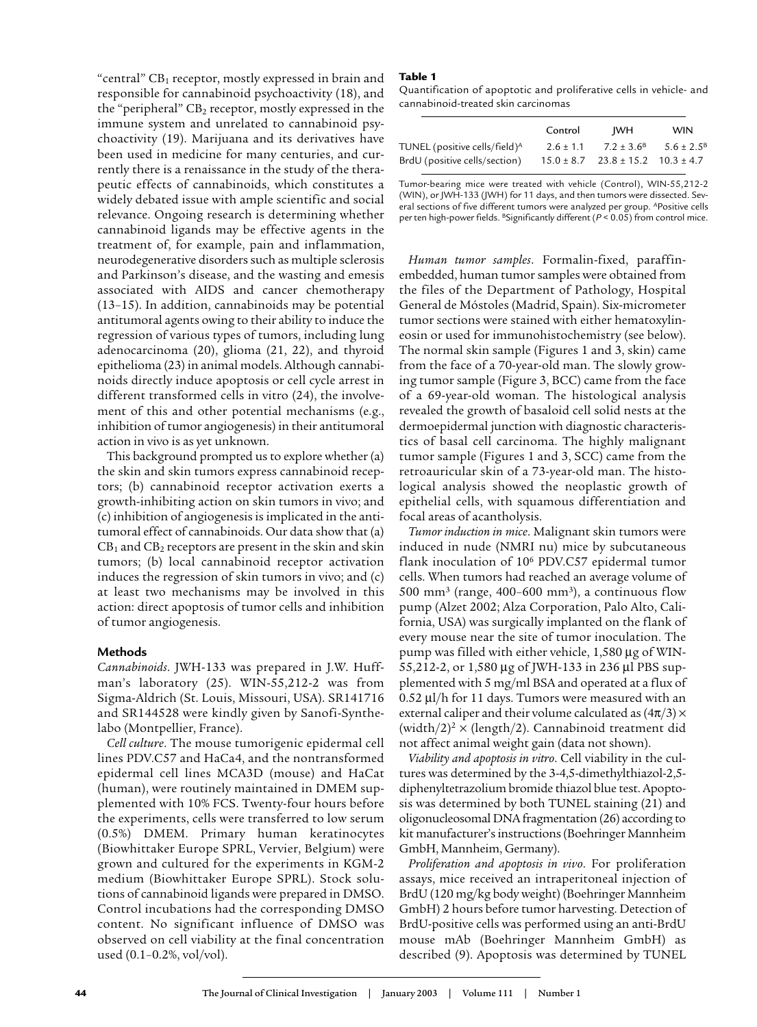"central"  $CB_1$  receptor, mostly expressed in brain and responsible for cannabinoid psychoactivity (18), and the "peripheral"  $CB<sub>2</sub>$  receptor, mostly expressed in the immune system and unrelated to cannabinoid psychoactivity (19). Marijuana and its derivatives have been used in medicine for many centuries, and currently there is a renaissance in the study of the therapeutic effects of cannabinoids, which constitutes a widely debated issue with ample scientific and social relevance. Ongoing research is determining whether cannabinoid ligands may be effective agents in the treatment of, for example, pain and inflammation, neurodegenerative disorders such as multiple sclerosis and Parkinson's disease, and the wasting and emesis associated with AIDS and cancer chemotherapy (13–15). In addition, cannabinoids may be potential antitumoral agents owing to their ability to induce the regression of various types of tumors, including lung adenocarcinoma (20), glioma (21, 22), and thyroid epithelioma (23) in animal models. Although cannabinoids directly induce apoptosis or cell cycle arrest in different transformed cells in vitro (24), the involvement of this and other potential mechanisms (e.g., inhibition of tumor angiogenesis) in their antitumoral action in vivo is as yet unknown.

This background prompted us to explore whether (a) the skin and skin tumors express cannabinoid receptors; (b) cannabinoid receptor activation exerts a growth-inhibiting action on skin tumors in vivo; and (c) inhibition of angiogenesis is implicated in the antitumoral effect of cannabinoids. Our data show that (a)  $CB<sub>1</sub>$  and  $CB<sub>2</sub>$  receptors are present in the skin and skin tumors; (b) local cannabinoid receptor activation induces the regression of skin tumors in vivo; and (c) at least two mechanisms may be involved in this action: direct apoptosis of tumor cells and inhibition of tumor angiogenesis.

## **Methods**

*Cannabinoids*. JWH-133 was prepared in J.W. Huffman's laboratory (25). WIN-55,212-2 was from Sigma-Aldrich (St. Louis, Missouri, USA). SR141716 and SR144528 were kindly given by Sanofi-Synthelabo (Montpellier, France).

*Cell culture*. The mouse tumorigenic epidermal cell lines PDV.C57 and HaCa4, and the nontransformed epidermal cell lines MCA3D (mouse) and HaCat (human), were routinely maintained in DMEM supplemented with 10% FCS. Twenty-four hours before the experiments, cells were transferred to low serum (0.5%) DMEM. Primary human keratinocytes (Biowhittaker Europe SPRL, Vervier, Belgium) were grown and cultured for the experiments in KGM-2 medium (Biowhittaker Europe SPRL). Stock solutions of cannabinoid ligands were prepared in DMSO. Control incubations had the corresponding DMSO content. No significant influence of DMSO was observed on cell viability at the final concentration used (0.1–0.2%, vol/vol).

## Table 1

Quantification of apoptotic and proliferative cells in vehicle- and cannabinoid-treated skin carcinomas

|                                           | Control       | IWH                                           | <b>WIN</b>            |
|-------------------------------------------|---------------|-----------------------------------------------|-----------------------|
| TUNEL (positive cells/field) <sup>A</sup> | $2.6 \pm 1.1$ | $7.2 \pm 3.6^{\circ}$                         | $5.6 \pm 2.5^{\circ}$ |
| BrdU (positive cells/section)             |               | $15.0 \pm 8.7$ $23.8 \pm 15.2$ $10.3 \pm 4.7$ |                       |

Tumor-bearing mice were treated with vehicle (Control), WIN-55,212-2 (WIN), or JWH-133 (JWH) for 11 days, and then tumors were dissected. Several sections of five different tumors were analyzed per group. <sup>Apositive cells</sup> per ten high-power fields. <sup>B</sup>Significantly different ( $P < 0.05$ ) from control mice.

*Human tumor samples*. Formalin-fixed, paraffinembedded, human tumor samples were obtained from the files of the Department of Pathology, Hospital General de Móstoles (Madrid, Spain). Six-micrometer tumor sections were stained with either hematoxylineosin or used for immunohistochemistry (see below). The normal skin sample (Figures 1 and 3, skin) came from the face of a 70-year-old man. The slowly growing tumor sample (Figure 3, BCC) came from the face of a 69-year-old woman. The histological analysis revealed the growth of basaloid cell solid nests at the dermoepidermal junction with diagnostic characteristics of basal cell carcinoma. The highly malignant tumor sample (Figures 1 and 3, SCC) came from the retroauricular skin of a 73-year-old man. The histological analysis showed the neoplastic growth of epithelial cells, with squamous differentiation and focal areas of acantholysis.

*Tumor induction in mice*. Malignant skin tumors were induced in nude (NMRI nu) mice by subcutaneous flank inoculation of 10<sup>6</sup> PDV.C57 epidermal tumor cells. When tumors had reached an average volume of  $500 \; \mathrm{mm^3}$  (range, 400–600  $\mathrm{mm^3})$ , a continuous flow pump (Alzet 2002; Alza Corporation, Palo Alto, California, USA) was surgically implanted on the flank of every mouse near the site of tumor inoculation. The pump was filled with either vehicle, 1,580 µg of WIN-55,212-2, or 1,580 µg of JWH-133 in 236 µl PBS supplemented with 5 mg/ml BSA and operated at a flux of 0.52 µl/h for 11 days. Tumors were measured with an external caliper and their volume calculated as  $(4\pi/3) \times$ (width/2)<sup>2</sup>  $\times$  (length/2). Cannabinoid treatment did not affect animal weight gain (data not shown).

*Viability and apoptosis in vitro*. Cell viability in the cultures was determined by the 3-4,5-dimethylthiazol-2,5 diphenyltetrazolium bromide thiazol blue test. Apoptosis was determined by both TUNEL staining (21) and oligonucleosomal DNA fragmentation (26) according to kit manufacturer's instructions (Boehringer Mannheim GmbH, Mannheim, Germany).

*Proliferation and apoptosis in vivo*. For proliferation assays, mice received an intraperitoneal injection of BrdU (120 mg/kg body weight) (Boehringer Mannheim GmbH) 2 hours before tumor harvesting. Detection of BrdU-positive cells was performed using an anti-BrdU mouse mAb (Boehringer Mannheim GmbH) as described (9). Apoptosis was determined by TUNEL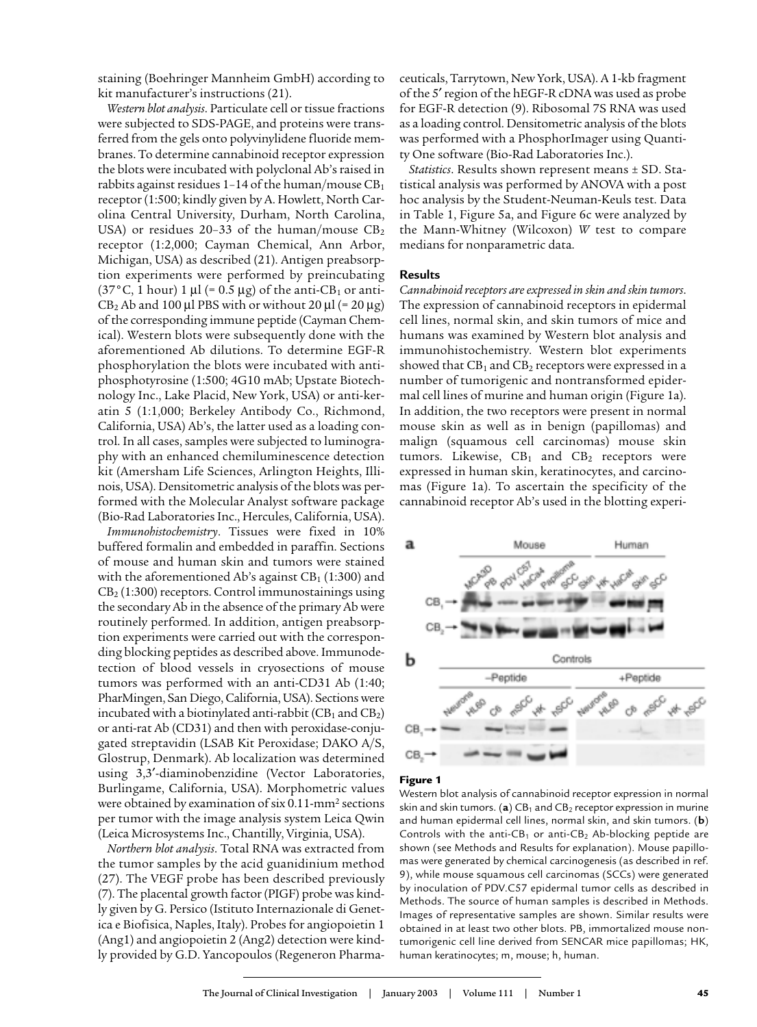staining (Boehringer Mannheim GmbH) according to kit manufacturer's instructions (21).

*Western blot analysis*. Particulate cell or tissue fractions were subjected to SDS-PAGE, and proteins were transferred from the gels onto polyvinylidene fluoride membranes. To determine cannabinoid receptor expression the blots were incubated with polyclonal Ab's raised in rabbits against residues 1-14 of the human/mouse  $CB<sub>1</sub>$ receptor (1:500; kindly given by A. Howlett, North Carolina Central University, Durham, North Carolina, USA) or residues 20-33 of the human/mouse  $CB<sub>2</sub>$ receptor (1:2,000; Cayman Chemical, Ann Arbor, Michigan, USA) as described (21). Antigen preabsorption experiments were performed by preincubating  $(37\degree C, 1$  hour) 1 µl (= 0.5 µg) of the anti-CB<sub>1</sub> or anti- $CB_2$  Ab and 100 µl PBS with or without 20 µl (= 20 µg) of the corresponding immune peptide (Cayman Chemical). Western blots were subsequently done with the aforementioned Ab dilutions. To determine EGF-R phosphorylation the blots were incubated with antiphosphotyrosine (1:500; 4G10 mAb; Upstate Biotechnology Inc., Lake Placid, New York, USA) or anti-keratin 5 (1:1,000; Berkeley Antibody Co., Richmond, California, USA) Ab's, the latter used as a loading control. In all cases, samples were subjected to luminography with an enhanced chemiluminescence detection kit (Amersham Life Sciences, Arlington Heights, Illinois, USA). Densitometric analysis of the blots was performed with the Molecular Analyst software package (Bio-Rad Laboratories Inc., Hercules, California, USA).

*Immunohistochemistry*. Tissues were fixed in 10% buffered formalin and embedded in paraffin. Sections of mouse and human skin and tumors were stained with the aforementioned Ab's against  $CB<sub>1</sub>$  (1:300) and  $CB<sub>2</sub>$  (1:300) receptors. Control immunostainings using the secondary Ab in the absence of the primary Ab were routinely performed. In addition, antigen preabsorption experiments were carried out with the corresponding blocking peptides as described above. Immunodetection of blood vessels in cryosections of mouse tumors was performed with an anti-CD31 Ab (1:40; PharMingen, San Diego, California, USA). Sections were incubated with a biotinylated anti-rabbit  $(CB_1$  and  $CB_2)$ or anti-rat Ab (CD31) and then with peroxidase-conjugated streptavidin (LSAB Kit Peroxidase; DAKO A/S, Glostrup, Denmark). Ab localization was determined using 3,3′-diaminobenzidine (Vector Laboratories, Burlingame, California, USA). Morphometric values were obtained by examination of six 0.11-mm<sup>2</sup> sections per tumor with the image analysis system Leica Qwin (Leica Microsystems Inc., Chantilly, Virginia, USA).

*Northern blot analysis*. Total RNA was extracted from the tumor samples by the acid guanidinium method (27). The VEGF probe has been described previously (7). The placental growth factor (PIGF) probe was kindly given by G. Persico (Istituto Internazionale di Genetica e Biofisica, Naples, Italy). Probes for angiopoietin 1 (Ang1) and angiopoietin 2 (Ang2) detection were kindly provided by G.D. Yancopoulos (Regeneron Pharmaceuticals, Tarrytown, New York, USA). A 1-kb fragment of the 5' region of the hEGF-R cDNA was used as probe for EGF-R detection (9). Ribosomal 7S RNA was used as a loading control. Densitometric analysis of the blots was performed with a PhosphorImager using Quantity One software (Bio-Rad Laboratories Inc.).

*Statistics*. Results shown represent means ± SD. Statistical analysis was performed by ANOVA with a post hoc analysis by the Student-Neuman-Keuls test. Data in Table 1, Figure 5a, and Figure 6c were analyzed by the Mann-Whitney (Wilcoxon) *W* test to compare medians for nonparametric data.

## **Results**

*Cannabinoid receptors are expressed in skin and skin tumors*. The expression of cannabinoid receptors in epidermal cell lines, normal skin, and skin tumors of mice and humans was examined by Western blot analysis and immunohistochemistry. Western blot experiments showed that  $CB_1$  and  $CB_2$  receptors were expressed in a number of tumorigenic and nontransformed epidermal cell lines of murine and human origin (Figure 1a). In addition, the two receptors were present in normal mouse skin as well as in benign (papillomas) and malign (squamous cell carcinomas) mouse skin tumors. Likewise,  $CB_1$  and  $CB_2$  receptors were expressed in human skin, keratinocytes, and carcinomas (Figure 1a). To ascertain the specificity of the cannabinoid receptor Ab's used in the blotting experi-



### Figure 1

Western blot analysis of cannabinoid receptor expression in normal skin and skin tumors. (a)  $CB_1$  and  $CB_2$  receptor expression in murine and human epidermal cell lines, normal skin, and skin tumors. (**b**) Controls with the anti- $CB_1$  or anti- $CB_2$  Ab-blocking peptide are shown (see Methods and Results for explanation). Mouse papillomas were generated by chemical carcinogenesis (as described in ref. 9), while mouse squamous cell carcinomas (SCCs) were generated by inoculation of PDV.C57 epidermal tumor cells as described in Methods. The source of human samples is described in Methods. Images of representative samples are shown. Similar results were obtained in at least two other blots. PB, immortalized mouse nontumorigenic cell line derived from SENCAR mice papillomas; HK, human keratinocytes; m, mouse; h, human.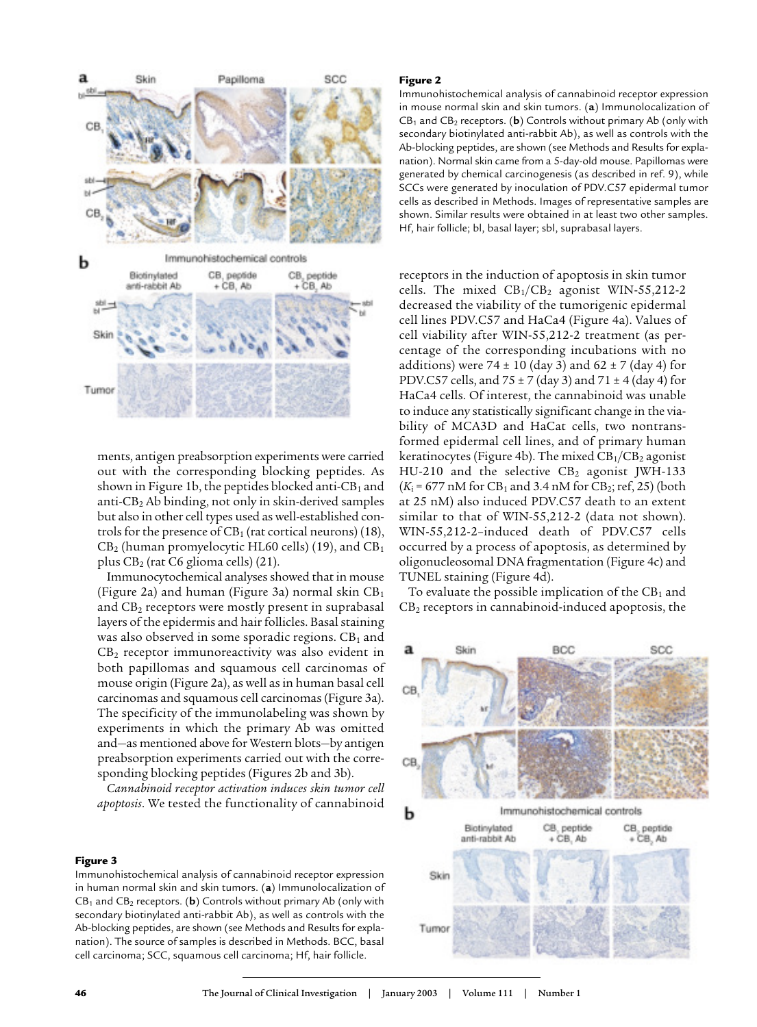

ments, antigen preabsorption experiments were carried out with the corresponding blocking peptides. As shown in Figure 1b, the peptides blocked anti- $CB<sub>1</sub>$  and anti-CB<sup>2</sup> Ab binding, not only in skin-derived samples but also in other cell types used as well-established controls for the presence of  $CB_1$  (rat cortical neurons) (18),  $CB<sub>2</sub>$  (human promyelocytic HL60 cells) (19), and  $CB<sub>1</sub>$ plus CB<sup>2</sup> (rat C6 glioma cells) (21).

Immunocytochemical analyses showed that in mouse (Figure 2a) and human (Figure 3a) normal skin  $CB<sub>1</sub>$ and  $CB<sub>2</sub>$  receptors were mostly present in suprabasal layers of the epidermis and hair follicles. Basal staining was also observed in some sporadic regions.  $CB<sub>1</sub>$  and  $CB<sub>2</sub>$  receptor immunoreactivity was also evident in both papillomas and squamous cell carcinomas of mouse origin (Figure 2a), as well as in human basal cell carcinomas and squamous cell carcinomas (Figure 3a). The specificity of the immunolabeling was shown by experiments in which the primary Ab was omitted and—as mentioned above for Western blots—by antigen preabsorption experiments carried out with the corresponding blocking peptides (Figures 2b and 3b).

*Cannabinoid receptor activation induces skin tumor cell apoptosis*. We tested the functionality of cannabinoid

#### Figure 3

Immunohistochemical analysis of cannabinoid receptor expression in human normal skin and skin tumors. (**a**) Immunolocalization of CB<sup>1</sup> and CB<sup>2</sup> receptors. (**b**) Controls without primary Ab (only with secondary biotinylated anti-rabbit Ab), as well as controls with the Ab-blocking peptides, are shown (see Methods and Results for explanation). The source of samples is described in Methods. BCC, basal cell carcinoma; SCC, squamous cell carcinoma; Hf, hair follicle.

#### Figure 2

Immunohistochemical analysis of cannabinoid receptor expression in mouse normal skin and skin tumors. (**a**) Immunolocalization of  $CB<sub>1</sub>$  and  $CB<sub>2</sub>$  receptors. (**b**) Controls without primary Ab (only with secondary biotinylated anti-rabbit Ab), as well as controls with the Ab-blocking peptides, are shown (see Methods and Results for explanation). Normal skin came from a 5-day-old mouse. Papillomas were generated by chemical carcinogenesis (as described in ref. 9), while SCCs were generated by inoculation of PDV.C57 epidermal tumor cells as described in Methods. Images of representative samples are shown. Similar results were obtained in at least two other samples. Hf, hair follicle; bl, basal layer; sbl, suprabasal layers.

receptors in the induction of apoptosis in skin tumor cells. The mixed  $CB_1/CB_2$  agonist WIN-55,212-2 decreased the viability of the tumorigenic epidermal cell lines PDV.C57 and HaCa4 (Figure 4a). Values of cell viability after WIN-55,212-2 treatment (as percentage of the corresponding incubations with no additions) were  $74 \pm 10$  (day 3) and  $62 \pm 7$  (day 4) for PDV.C57 cells, and  $75 \pm 7$  (day 3) and  $71 \pm 4$  (day 4) for HaCa4 cells. Of interest, the cannabinoid was unable to induce any statistically significant change in the viability of MCA3D and HaCat cells, two nontransformed epidermal cell lines, and of primary human keratinocytes (Figure 4b). The mixed  $CB<sub>1</sub>/CB<sub>2</sub>$  agonist HU-210 and the selective  $CB_2$  agonist JWH-133  $(K_i = 677 \text{ nM}$  for CB<sub>1</sub> and 3.4 nM for CB<sub>2</sub>; ref, 25) (both at 25 nM) also induced PDV.C57 death to an extent similar to that of WIN-55,212-2 (data not shown). WIN-55,212-2–induced death of PDV.C57 cells occurred by a process of apoptosis, as determined by oligonucleosomal DNA fragmentation (Figure 4c) and TUNEL staining (Figure 4d).

To evaluate the possible implication of the  $CB<sub>1</sub>$  and  $CB<sub>2</sub>$  receptors in cannabinoid-induced apoptosis, the

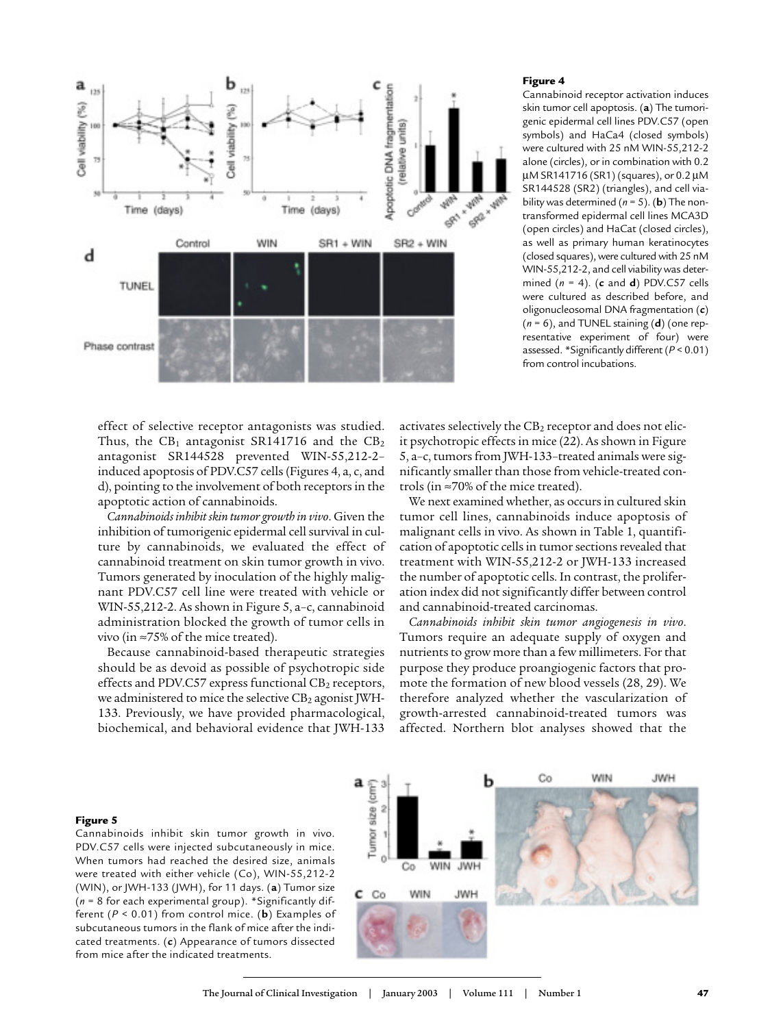

#### Figure 4

Cannabinoid receptor activation induces skin tumor cell apoptosis. (**a**) The tumorigenic epidermal cell lines PDV.C57 (open symbols) and HaCa4 (closed symbols) were cultured with 25 nM WIN-55,212-2 alone (circles), or in combination with 0.2 µM SR141716 (SR1) (squares), or 0.2 µM SR144528 (SR2) (triangles), and cell viability was determined (*n* = 5). (**b**) The nontransformed epidermal cell lines MCA3D (open circles) and HaCat (closed circles), as well as primary human keratinocytes (closed squares), were cultured with 25 nM WIN-55,212-2, and cell viability was determined (*n* = 4). (**c** and **d**) PDV.C57 cells were cultured as described before, and oligonucleosomal DNA fragmentation (**c**) (*n* = 6), and TUNEL staining (**d**) (one representative experiment of four) were assessed. \*Significantly different (*P* < 0.01) from control incubations.

effect of selective receptor antagonists was studied. Thus, the  $CB_1$  antagonist SR141716 and the  $CB_2$ antagonist SR144528 prevented WIN-55,212-2– induced apoptosis of PDV.C57 cells (Figures 4, a, c, and d), pointing to the involvement of both receptors in the apoptotic action of cannabinoids.

*Cannabinoids inhibit skin tumor growth in vivo*. Given the inhibition of tumorigenic epidermal cell survival in culture by cannabinoids, we evaluated the effect of cannabinoid treatment on skin tumor growth in vivo. Tumors generated by inoculation of the highly malignant PDV.C57 cell line were treated with vehicle or WIN-55,212-2. As shown in Figure 5, a–c, cannabinoid administration blocked the growth of tumor cells in vivo (in ≈75% of the mice treated).

Because cannabinoid-based therapeutic strategies should be as devoid as possible of psychotropic side effects and PDV.C57 express functional  $CB<sub>2</sub>$  receptors, we administered to mice the selective  $CB<sub>2</sub>$  agonist JWH-133. Previously, we have provided pharmacological, biochemical, and behavioral evidence that JWH-133

activates selectively the  $CB_2$  receptor and does not elicit psychotropic effects in mice (22). As shown in Figure 5, a–c, tumors from JWH-133–treated animals were significantly smaller than those from vehicle-treated controls (in ≈70% of the mice treated).

We next examined whether, as occurs in cultured skin tumor cell lines, cannabinoids induce apoptosis of malignant cells in vivo. As shown in Table 1, quantification of apoptotic cells in tumor sections revealed that treatment with WIN-55,212-2 or JWH-133 increased the number of apoptotic cells. In contrast, the proliferation index did not significantly differ between control and cannabinoid-treated carcinomas.

*Cannabinoids inhibit skin tumor angiogenesis in vivo*. Tumors require an adequate supply of oxygen and nutrients to grow more than a few millimeters. For that purpose they produce proangiogenic factors that promote the formation of new blood vessels (28, 29). We therefore analyzed whether the vascularization of growth-arrested cannabinoid-treated tumors was affected. Northern blot analyses showed that the

#### Figure 5

Cannabinoids inhibit skin tumor growth in vivo. PDV.C57 cells were injected subcutaneously in mice. When tumors had reached the desired size, animals were treated with either vehicle (Co), WIN-55,212-2 (WIN), or JWH-133 (JWH), for 11 days. (**a**) Tumor size (*n* = 8 for each experimental group). \*Significantly different (*P* < 0.01) from control mice. (**b**) Examples of subcutaneous tumors in the flank of mice after the indicated treatments. (**c**) Appearance of tumors dissected from mice after the indicated treatments.

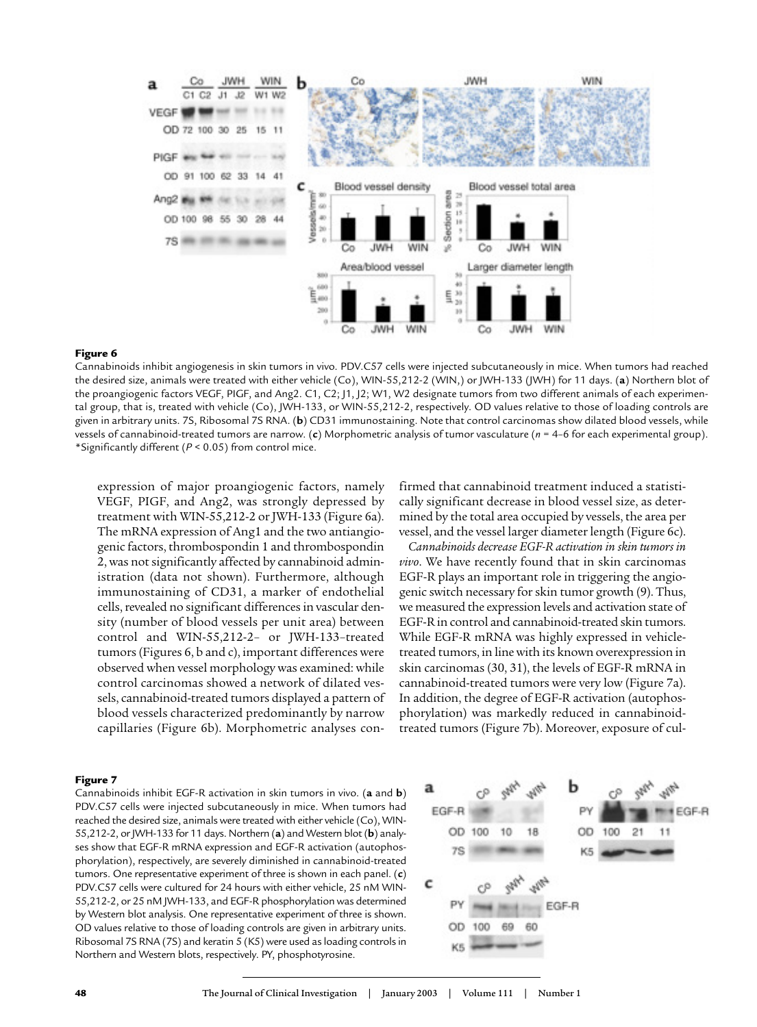

#### Figure 6

Cannabinoids inhibit angiogenesis in skin tumors in vivo. PDV.C57 cells were injected subcutaneously in mice. When tumors had reached the desired size, animals were treated with either vehicle (Co), WIN-55,212-2 (WIN,) or JWH-133 (JWH) for 11 days. (**a**) Northern blot of the proangiogenic factors VEGF, PIGF, and Ang2. C1, C2; J1, J2; W1, W2 designate tumors from two different animals of each experimental group, that is, treated with vehicle (Co), JWH-133, or WIN-55,212-2, respectively. OD values relative to those of loading controls are given in arbitrary units. 7S, Ribosomal 7S RNA. (**b**) CD31 immunostaining. Note that control carcinomas show dilated blood vessels, while vessels of cannabinoid-treated tumors are narrow. (**c**) Morphometric analysis of tumor vasculature (*n* = 4–6 for each experimental group). \*Significantly different (*P* < 0.05) from control mice.

expression of major proangiogenic factors, namely VEGF, PIGF, and Ang2, was strongly depressed by treatment with WIN-55,212-2 or JWH-133 (Figure 6a). The mRNA expression of Ang1 and the two antiangiogenic factors, thrombospondin 1 and thrombospondin 2, was not significantly affected by cannabinoid administration (data not shown). Furthermore, although immunostaining of CD31, a marker of endothelial cells, revealed no significant differences in vascular density (number of blood vessels per unit area) between control and WIN-55,212-2– or JWH-133–treated tumors (Figures 6, b and c), important differences were observed when vessel morphology was examined: while control carcinomas showed a network of dilated vessels, cannabinoid-treated tumors displayed a pattern of blood vessels characterized predominantly by narrow capillaries (Figure 6b). Morphometric analyses confirmed that cannabinoid treatment induced a statistically significant decrease in blood vessel size, as determined by the total area occupied by vessels, the area per vessel, and the vessel larger diameter length (Figure 6c).

*Cannabinoids decrease EGF-R activation in skin tumors in vivo*. We have recently found that in skin carcinomas EGF-R plays an important role in triggering the angiogenic switch necessary for skin tumor growth (9). Thus, we measured the expression levels and activation state of EGF-R in control and cannabinoid-treated skin tumors. While EGF-R mRNA was highly expressed in vehicletreated tumors, in line with its known overexpression in skin carcinomas (30, 31), the levels of EGF-R mRNA in cannabinoid-treated tumors were very low (Figure 7a). In addition, the degree of EGF-R activation (autophosphorylation) was markedly reduced in cannabinoidtreated tumors (Figure 7b). Moreover, exposure of cul-

#### Figure 7

Cannabinoids inhibit EGF-R activation in skin tumors in vivo. (**a** and **b**) PDV.C57 cells were injected subcutaneously in mice. When tumors had reached the desired size, animals were treated with either vehicle (Co), WIN-55,212-2, or JWH-133 for 11 days. Northern (**a**) and Western blot (**b**) analyses show that EGF-R mRNA expression and EGF-R activation (autophosphorylation), respectively, are severely diminished in cannabinoid-treated tumors. One representative experiment of three is shown in each panel. (**c**) PDV.C57 cells were cultured for 24 hours with either vehicle, 25 nM WIN-55,212-2, or 25 nM JWH-133, and EGF-R phosphorylation was determined by Western blot analysis. One representative experiment of three is shown. OD values relative to those of loading controls are given in arbitrary units. Ribosomal 7S RNA (7S) and keratin 5 (K5) were used as loading controls in Northern and Western blots, respectively. PY, phosphotyrosine.

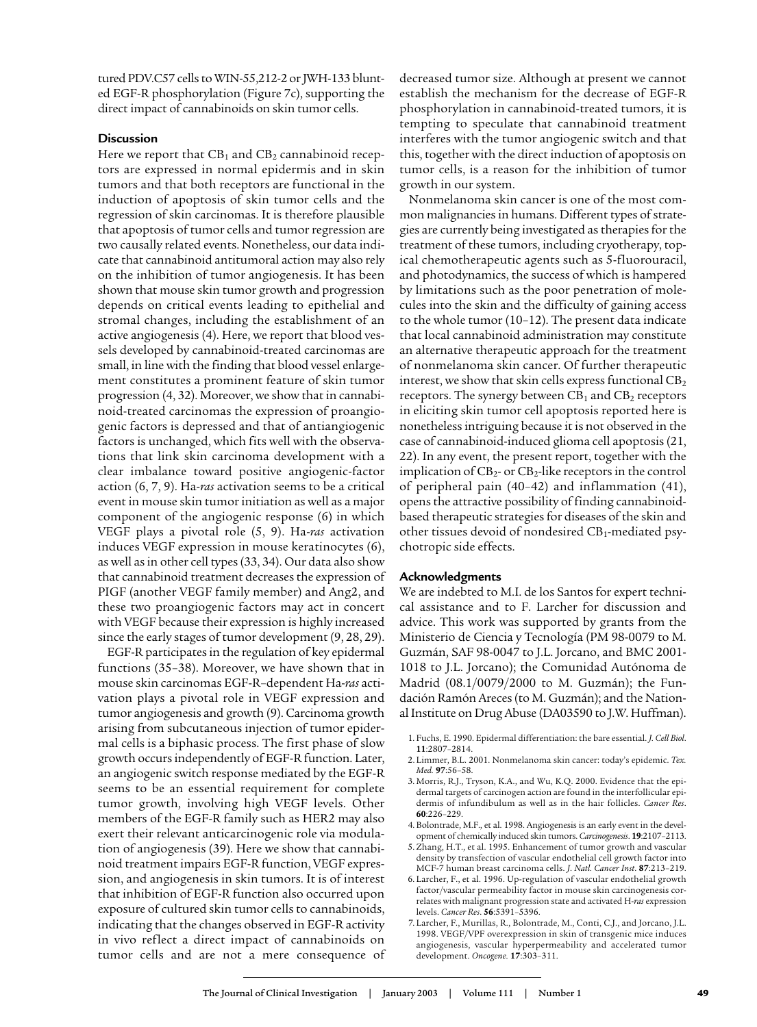tured PDV.C57 cells to WIN-55,212-2 or JWH-133 blunted EGF-R phosphorylation (Figure 7c), supporting the direct impact of cannabinoids on skin tumor cells.

## **Discussion**

Here we report that  $CB_1$  and  $CB_2$  cannabinoid receptors are expressed in normal epidermis and in skin tumors and that both receptors are functional in the induction of apoptosis of skin tumor cells and the regression of skin carcinomas. It is therefore plausible that apoptosis of tumor cells and tumor regression are two causally related events. Nonetheless, our data indicate that cannabinoid antitumoral action may also rely on the inhibition of tumor angiogenesis. It has been shown that mouse skin tumor growth and progression depends on critical events leading to epithelial and stromal changes, including the establishment of an active angiogenesis (4). Here, we report that blood vessels developed by cannabinoid-treated carcinomas are small, in line with the finding that blood vessel enlargement constitutes a prominent feature of skin tumor progression (4, 32). Moreover, we show that in cannabinoid-treated carcinomas the expression of proangiogenic factors is depressed and that of antiangiogenic factors is unchanged, which fits well with the observations that link skin carcinoma development with a clear imbalance toward positive angiogenic-factor action (6, 7, 9). Ha-*ras* activation seems to be a critical event in mouse skin tumor initiation as well as a major component of the angiogenic response (6) in which VEGF plays a pivotal role (5, 9). Ha-*ras* activation induces VEGF expression in mouse keratinocytes (6), as well as in other cell types (33, 34). Our data also show that cannabinoid treatment decreases the expression of PIGF (another VEGF family member) and Ang2, and these two proangiogenic factors may act in concert with VEGF because their expression is highly increased since the early stages of tumor development (9, 28, 29).

EGF-R participates in the regulation of key epidermal functions (35–38). Moreover, we have shown that in mouse skin carcinomas EGF-R–dependent Ha-*ras* activation plays a pivotal role in VEGF expression and tumor angiogenesis and growth (9). Carcinoma growth arising from subcutaneous injection of tumor epidermal cells is a biphasic process. The first phase of slow growth occurs independently of EGF-R function. Later, an angiogenic switch response mediated by the EGF-R seems to be an essential requirement for complete tumor growth, involving high VEGF levels. Other members of the EGF-R family such as HER2 may also exert their relevant anticarcinogenic role via modulation of angiogenesis (39). Here we show that cannabinoid treatment impairs EGF-R function, VEGF expression, and angiogenesis in skin tumors. It is of interest that inhibition of EGF-R function also occurred upon exposure of cultured skin tumor cells to cannabinoids, indicating that the changes observed in EGF-R activity in vivo reflect a direct impact of cannabinoids on tumor cells and are not a mere consequence of decreased tumor size. Although at present we cannot establish the mechanism for the decrease of EGF-R phosphorylation in cannabinoid-treated tumors, it is tempting to speculate that cannabinoid treatment interferes with the tumor angiogenic switch and that this, together with the direct induction of apoptosis on tumor cells, is a reason for the inhibition of tumor growth in our system.

Nonmelanoma skin cancer is one of the most common malignancies in humans. Different types of strategies are currently being investigated as therapies for the treatment of these tumors, including cryotherapy, topical chemotherapeutic agents such as 5-fluorouracil, and photodynamics, the success of which is hampered by limitations such as the poor penetration of molecules into the skin and the difficulty of gaining access to the whole tumor (10–12). The present data indicate that local cannabinoid administration may constitute an alternative therapeutic approach for the treatment of nonmelanoma skin cancer. Of further therapeutic interest, we show that skin cells express functional  $CB<sub>2</sub>$ receptors. The synergy between  $CB<sub>1</sub>$  and  $CB<sub>2</sub>$  receptors in eliciting skin tumor cell apoptosis reported here is nonetheless intriguing because it is not observed in the case of cannabinoid-induced glioma cell apoptosis (21, 22). In any event, the present report, together with the implication of  $CB_2$ - or  $CB_2$ -like receptors in the control of peripheral pain (40–42) and inflammation (41), opens the attractive possibility of finding cannabinoidbased therapeutic strategies for diseases of the skin and other tissues devoid of nondesired CB1-mediated psychotropic side effects.

## **Acknowledgments**

We are indebted to M.I. de los Santos for expert technical assistance and to F. Larcher for discussion and advice. This work was supported by grants from the Ministerio de Ciencia y Tecnología (PM 98-0079 to M. Guzmán, SAF 98-0047 to J.L. Jorcano, and BMC 2001- 1018 to J.L. Jorcano); the Comunidad Autónoma de Madrid (08.1/0079/2000 to M. Guzmán); the Fundación Ramón Areces (to M. Guzmán); and the National Institute on Drug Abuse (DA03590 to J.W. Huffman).

- 1. Fuchs, E. 1990. Epidermal differentiation: the bare essential. *J. Cell Biol*. **11**:2807–2814.
- 2. Limmer, B.L. 2001. Nonmelanoma skin cancer: today's epidemic. *Tex. Med.* **97**:56–58.
- 3. Morris, R.J., Tryson, K.A., and Wu, K.Q. 2000. Evidence that the epidermal targets of carcinogen action are found in the interfollicular epidermis of infundibulum as well as in the hair follicles. *Cancer Res*. **60**:226–229.
- 4. Bolontrade, M.F., et al. 1998. Angiogenesis is an early event in the development of chemically induced skin tumors. *Carcinogenesis*. **19**:2107–2113.
- 5. Zhang, H.T., et al. 1995. Enhancement of tumor growth and vascular density by transfection of vascular endothelial cell growth factor into MCF-7 human breast carcinoma cells. *J*. *Natl. Cancer Inst*. **87**:213–219.
- 6. Larcher, F., et al. 1996. Up-regulation of vascular endothelial growth factor/vascular permeability factor in mouse skin carcinogenesis correlates with malignant progression state and activated H-*ras* expression levels. *Cancer Res*. **56**:5391–5396.
- 7. Larcher, F., Murillas, R., Bolontrade, M., Conti, C.J., and Jorcano, J.L. 1998. VEGF/VPF overexpression in skin of transgenic mice induces angiogenesis, vascular hyperpermeability and accelerated tumor development. *Oncogene.* **17**:303–311.